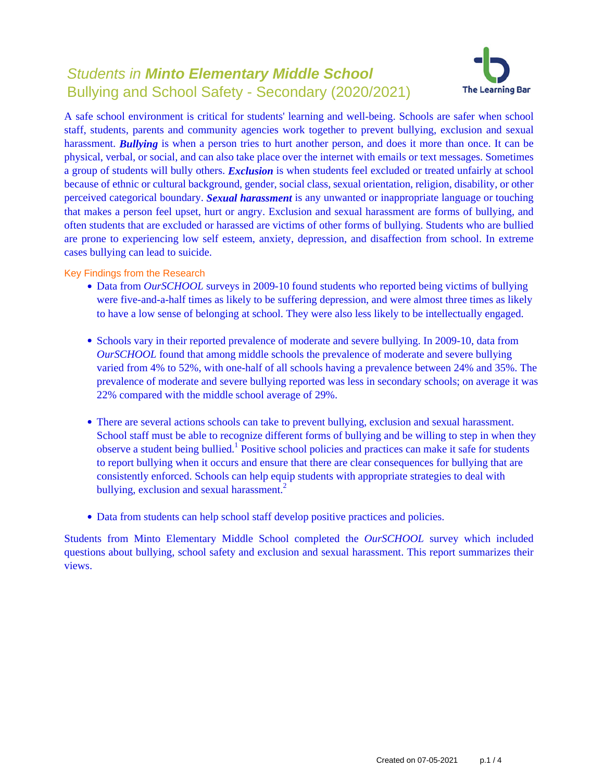# Students in **Minto Elementary Middle School** Bullying and School Safety - Secondary (2020/2021)



A safe school environment is critical for students' learning and well-being. Schools are safer when school staff, students, parents and community agencies work together to prevent bullying, exclusion and sexual harassment. *Bullying* is when a person tries to hurt another person, and does it more than once. It can be physical, verbal, or social, and can also take place over the internet with emails or text messages. Sometimes a group of students will bully others. *Exclusion* is when students feel excluded or treated unfairly at school because of ethnic or cultural background, gender, social class, sexual orientation, religion, disability, or other perceived categorical boundary. *Sexual harassment* is any unwanted or inappropriate language or touching that makes a person feel upset, hurt or angry. Exclusion and sexual harassment are forms of bullying, and often students that are excluded or harassed are victims of other forms of bullying. Students who are bullied are prone to experiencing low self esteem, anxiety, depression, and disaffection from school. In extreme cases bullying can lead to suicide.

Key Findings from the Research

- Data from *OurSCHOOL* surveys in 2009-10 found students who reported being victims of bullying were five-and-a-half times as likely to be suffering depression, and were almost three times as likely to have a low sense of belonging at school. They were also less likely to be intellectually engaged.
- Schools vary in their reported prevalence of moderate and severe bullying. In 2009-10, data from *OurSCHOOL* found that among middle schools the prevalence of moderate and severe bullying varied from 4% to 52%, with one-half of all schools having a prevalence between 24% and 35%. The prevalence of moderate and severe bullying reported was less in secondary schools; on average it was 22% compared with the middle school average of 29%.
- There are several actions schools can take to prevent bullying, exclusion and sexual harassment. School staff must be able to recognize different forms of bullying and be willing to step in when they observe a student being bullied.<sup>1</sup> Positive school policies and practices can make it safe for students to report bullying when it occurs and ensure that there are clear consequences for bullying that are consistently enforced. Schools can help equip students with appropriate strategies to deal with bullying, exclusion and sexual harassment.<sup>2</sup>
- Data from students can help school staff develop positive practices and policies.

Students from Minto Elementary Middle School completed the *OurSCHOOL* survey which included questions about bullying, school safety and exclusion and sexual harassment. This report summarizes their views.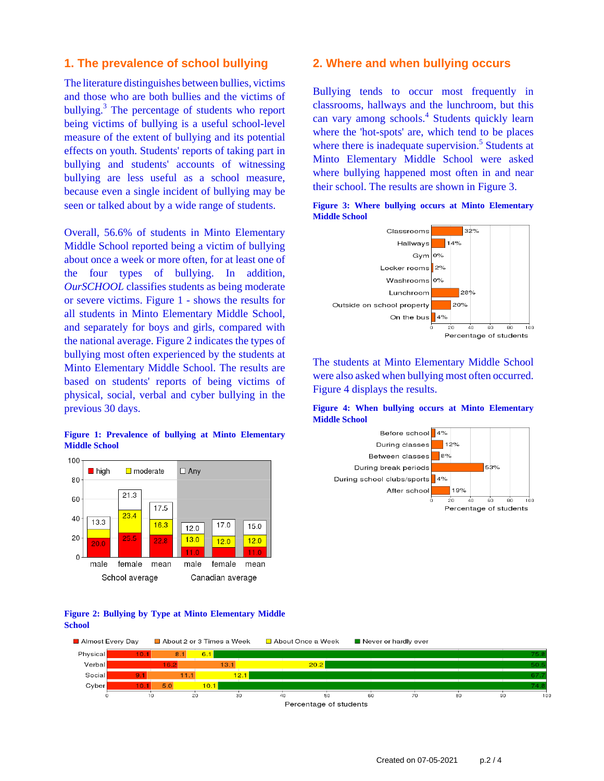### **1. The prevalence of school bullying**

The literature distinguishes between bullies, victims and those who are both bullies and the victims of bullying.<sup>3</sup> The percentage of students who report being victims of bullying is a useful school-level measure of the extent of bullying and its potential effects on youth. Students' reports of taking part in bullying and students' accounts of witnessing bullying are less useful as a school measure, because even a single incident of bullying may be seen or talked about by a wide range of students.

Overall, 56.6% of students in Minto Elementary Middle School reported being a victim of bullying about once a week or more often, for at least one of the four types of bullying. In addition, *OurSCHOOL* classifies students as being moderate or severe victims. Figure 1 - shows the results for all students in Minto Elementary Middle School, and separately for boys and girls, compared with the national average. Figure 2 indicates the types of bullying most often experienced by the students at Minto Elementary Middle School. The results are based on students' reports of being victims of physical, social, verbal and cyber bullying in the previous 30 days.

### **Figure 1: Prevalence of bullying at Minto Elementary Middle School**



#### **Figure 2: Bullying by Type at Minto Elementary Middle School**

### **2. Where and when bullying occurs**

Bullying tends to occur most frequently in classrooms, hallways and the lunchroom, but this can vary among schools.<sup>4</sup> Students quickly learn where the 'hot-spots' are, which tend to be places where there is inadequate supervision.<sup>5</sup> Students at Minto Elementary Middle School were asked where bullying happened most often in and near their school. The results are shown in Figure 3.



**Figure 3: Where bullying occurs at Minto Elementary Middle School**

The students at Minto Elementary Middle School were also asked when bullying most often occurred. Figure 4 displays the results.

#### **Figure 4: When bullying occurs at Minto Elementary Middle School**



About Once a Week Almost Every Day About 2 or 3 Times a Week Never or hardly ever Physical  $10.1$  $8.1$  $6.1$ Verbal  $20.2$ Social  $11.1$  $12.1$ Cyber  $5.0$  $10.1$  $10$  $\overline{20}$  $\overline{30}$  $50$  $\frac{1}{70}$  $\overline{60}$  $\overline{50}$  $40$  $60$ Percentage of students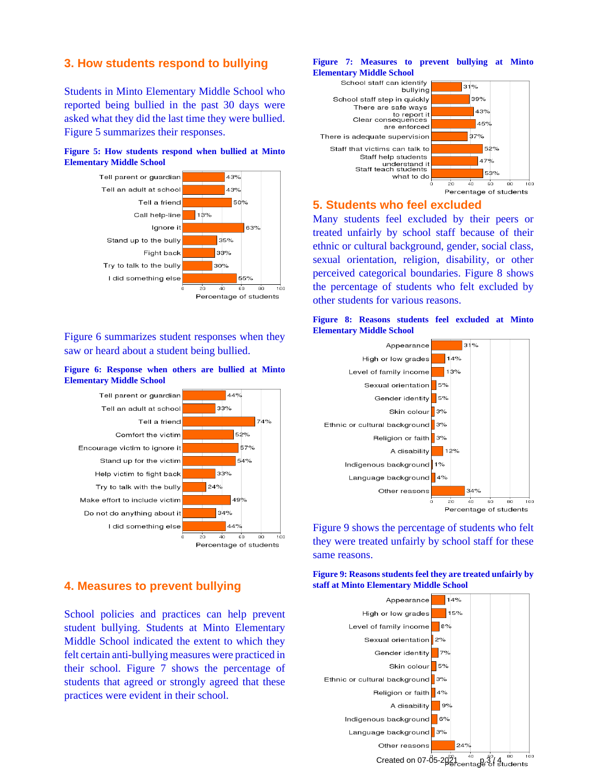### **3. How students respond to bullying**

Students in Minto Elementary Middle School who reported being bullied in the past 30 days were asked what they did the last time they were bullied. Figure 5 summarizes their responses.

### **Figure 5: How students respond when bullied at Minto Elementary Middle School**



Figure 6 summarizes student responses when they saw or heard about a student being bullied.

#### **Figure 6: Response when others are bullied at Minto Elementary Middle School**



# **4. Measures to prevent bullying**

School policies and practices can help prevent student bullying. Students at Minto Elementary Middle School indicated the extent to which they felt certain anti-bullying measures were practiced in their school. Figure 7 shows the percentage of students that agreed or strongly agreed that these practices were evident in their school.

#### **Figure 7: Measures to prevent bullying at Minto Elementary Middle School**



### **5. Students who feel excluded**

Many students feel excluded by their peers or treated unfairly by school staff because of their ethnic or cultural background, gender, social class, sexual orientation, religion, disability, or other perceived categorical boundaries. Figure 8 shows the percentage of students who felt excluded by other students for various reasons.

#### **Figure 8: Reasons students feel excluded at Minto Elementary Middle School**



Figure 9 shows the percentage of students who felt they were treated unfairly by school staff for these same reasons.

**Figure 9: Reasons students feel they are treated unfairly by staff at Minto Elementary Middle School**